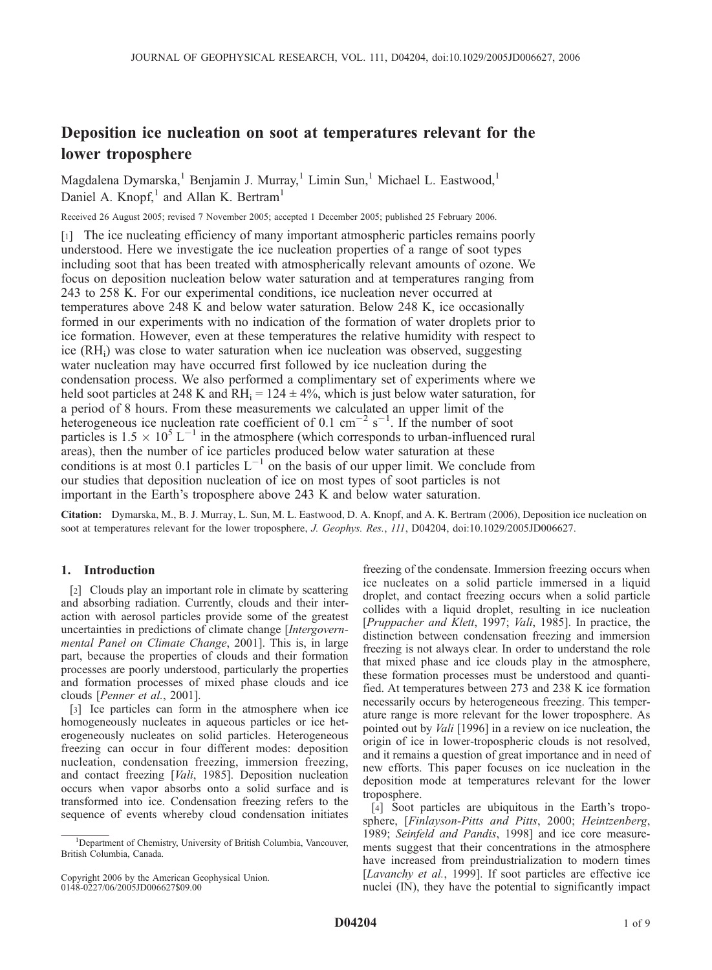# Deposition ice nucleation on soot at temperatures relevant for the lower troposphere

Magdalena Dymarska,<sup>1</sup> Benjamin J. Murray,<sup>1</sup> Limin Sun,<sup>1</sup> Michael L. Eastwood,<sup>1</sup> Daniel A. Knopf,<sup>1</sup> and Allan K. Bertram<sup>1</sup>

Received 26 August 2005; revised 7 November 2005; accepted 1 December 2005; published 25 February 2006.

[1] The ice nucleating efficiency of many important atmospheric particles remains poorly understood. Here we investigate the ice nucleation properties of a range of soot types including soot that has been treated with atmospherically relevant amounts of ozone. We focus on deposition nucleation below water saturation and at temperatures ranging from 243 to 258 K. For our experimental conditions, ice nucleation never occurred at temperatures above 248 K and below water saturation. Below 248 K, ice occasionally formed in our experiments with no indication of the formation of water droplets prior to ice formation. However, even at these temperatures the relative humidity with respect to ice (RHi) was close to water saturation when ice nucleation was observed, suggesting water nucleation may have occurred first followed by ice nucleation during the condensation process. We also performed a complimentary set of experiments where we held soot particles at 248 K and  $RH_i = 124 \pm 4\%$ , which is just below water saturation, for a period of 8 hours. From these measurements we calculated an upper limit of the heterogeneous ice nucleation rate coefficient of 0.1 cm<sup>-2</sup> s<sup>-1</sup>. If the number of soot particles is  $1.5 \times 10^5$  L<sup>-1</sup> in the atmosphere (which corresponds to urban-influenced rural areas), then the number of ice particles produced below water saturation at these conditions is at most 0.1 particles  $L^{-1}$  on the basis of our upper limit. We conclude from our studies that deposition nucleation of ice on most types of soot particles is not important in the Earth's troposphere above 243 K and below water saturation.

Citation: Dymarska, M., B. J. Murray, L. Sun, M. L. Eastwood, D. A. Knopf, and A. K. Bertram (2006), Deposition ice nucleation on soot at temperatures relevant for the lower troposphere, J. Geophys. Res., 111, D04204, doi:10.1029/2005JD006627.

# 1. Introduction

[2] Clouds play an important role in climate by scattering and absorbing radiation. Currently, clouds and their interaction with aerosol particles provide some of the greatest uncertainties in predictions of climate change [Intergovernmental Panel on Climate Change, 2001]. This is, in large part, because the properties of clouds and their formation processes are poorly understood, particularly the properties and formation processes of mixed phase clouds and ice clouds [Penner et al., 2001].

[3] Ice particles can form in the atmosphere when ice homogeneously nucleates in aqueous particles or ice heterogeneously nucleates on solid particles. Heterogeneous freezing can occur in four different modes: deposition nucleation, condensation freezing, immersion freezing, and contact freezing [*Vali*, 1985]. Deposition nucleation occurs when vapor absorbs onto a solid surface and is transformed into ice. Condensation freezing refers to the sequence of events whereby cloud condensation initiates

Copyright 2006 by the American Geophysical Union. 0148-0227/06/2005JD006627\$09.00

freezing of the condensate. Immersion freezing occurs when ice nucleates on a solid particle immersed in a liquid droplet, and contact freezing occurs when a solid particle collides with a liquid droplet, resulting in ice nucleation [Pruppacher and Klett, 1997; Vali, 1985]. In practice, the distinction between condensation freezing and immersion freezing is not always clear. In order to understand the role that mixed phase and ice clouds play in the atmosphere, these formation processes must be understood and quantified. At temperatures between 273 and 238 K ice formation necessarily occurs by heterogeneous freezing. This temperature range is more relevant for the lower troposphere. As pointed out by *Vali* [1996] in a review on ice nucleation, the origin of ice in lower-tropospheric clouds is not resolved, and it remains a question of great importance and in need of new efforts. This paper focuses on ice nucleation in the deposition mode at temperatures relevant for the lower troposphere.

[4] Soot particles are ubiquitous in the Earth's troposphere, [Finlayson-Pitts and Pitts, 2000; Heintzenberg, 1989; Seinfeld and Pandis, 1998] and ice core measurements suggest that their concentrations in the atmosphere have increased from preindustrialization to modern times [Lavanchy et al., 1999]. If soot particles are effective ice nuclei (IN), they have the potential to significantly impact

<sup>&</sup>lt;sup>1</sup>Department of Chemistry, University of British Columbia, Vancouver, British Columbia, Canada.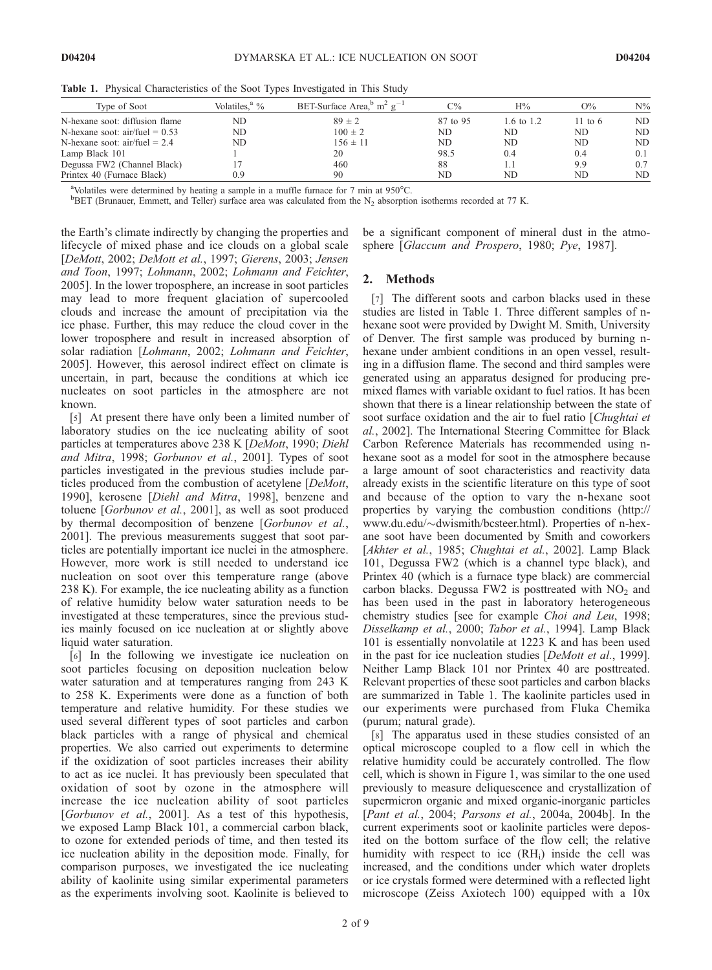| Type of Soot                     | Volatiles. <sup>a</sup> % | BET-Surface Area, $^{\rm b}$ m <sup>2</sup> g <sup>-1</sup> | $C\%$    | H%         | $O\%$     | $\mathrm{N}\%$ |
|----------------------------------|---------------------------|-------------------------------------------------------------|----------|------------|-----------|----------------|
| N-hexane soot: diffusion flame   | ND                        | $89 \pm 2$                                                  | 87 to 95 | 1.6 to 1.2 | 11 to $6$ | ND.            |
| N-hexane soot: $air/fuel = 0.53$ | ND.                       | $100 \pm 2$                                                 | ND       | ND         | ND        | ND.            |
| N-hexane soot: $air/fuel = 2.4$  | ND.                       | $156 \pm 11$                                                | ND.      | ND         | ND.       | ND.            |
| Lamp Black 101                   |                           | 20                                                          | 98.5     | 0.4        | 0.4       | 0.1            |
| Degussa FW2 (Channel Black)      |                           | 460                                                         | 88       |            | 9.9       | 0.7            |
| Printex 40 (Furnace Black)       | 0.9                       | 90                                                          | ND       | ND         | ND        | ND.            |

Table 1. Physical Characteristics of the Soot Types Investigated in This Study

<sup>a</sup>Volatiles were determined by heating a sample in a muffle furnace for 7 min at  $950^{\circ}$ C.

 $B$ BET (Brunauer, Emmett, and Teller) surface area was calculated from the N<sub>2</sub> absorption isotherms recorded at 77 K.

the Earth's climate indirectly by changing the properties and lifecycle of mixed phase and ice clouds on a global scale [DeMott, 2002; DeMott et al., 1997; Gierens, 2003; Jensen and Toon, 1997; Lohmann, 2002; Lohmann and Feichter, 2005]. In the lower troposphere, an increase in soot particles may lead to more frequent glaciation of supercooled clouds and increase the amount of precipitation via the ice phase. Further, this may reduce the cloud cover in the lower troposphere and result in increased absorption of solar radiation [Lohmann, 2002; Lohmann and Feichter, 2005]. However, this aerosol indirect effect on climate is uncertain, in part, because the conditions at which ice nucleates on soot particles in the atmosphere are not known.

[5] At present there have only been a limited number of laboratory studies on the ice nucleating ability of soot particles at temperatures above 238 K [DeMott, 1990; Diehl and Mitra, 1998; Gorbunov et al., 2001]. Types of soot particles investigated in the previous studies include particles produced from the combustion of acetylene [DeMott, 1990], kerosene [Diehl and Mitra, 1998], benzene and toluene [Gorbunov et al., 2001], as well as soot produced by thermal decomposition of benzene [Gorbunov et al., 2001]. The previous measurements suggest that soot particles are potentially important ice nuclei in the atmosphere. However, more work is still needed to understand ice nucleation on soot over this temperature range (above 238 K). For example, the ice nucleating ability as a function of relative humidity below water saturation needs to be investigated at these temperatures, since the previous studies mainly focused on ice nucleation at or slightly above liquid water saturation.

[6] In the following we investigate ice nucleation on soot particles focusing on deposition nucleation below water saturation and at temperatures ranging from 243 K to 258 K. Experiments were done as a function of both temperature and relative humidity. For these studies we used several different types of soot particles and carbon black particles with a range of physical and chemical properties. We also carried out experiments to determine if the oxidization of soot particles increases their ability to act as ice nuclei. It has previously been speculated that oxidation of soot by ozone in the atmosphere will increase the ice nucleation ability of soot particles [Gorbunov et al., 2001]. As a test of this hypothesis, we exposed Lamp Black 101, a commercial carbon black, to ozone for extended periods of time, and then tested its ice nucleation ability in the deposition mode. Finally, for comparison purposes, we investigated the ice nucleating ability of kaolinite using similar experimental parameters as the experiments involving soot. Kaolinite is believed to be a significant component of mineral dust in the atmosphere [Glaccum and Prospero, 1980; Pye, 1987].

# 2. Methods

[7] The different soots and carbon blacks used in these studies are listed in Table 1. Three different samples of nhexane soot were provided by Dwight M. Smith, University of Denver. The first sample was produced by burning nhexane under ambient conditions in an open vessel, resulting in a diffusion flame. The second and third samples were generated using an apparatus designed for producing premixed flames with variable oxidant to fuel ratios. It has been shown that there is a linear relationship between the state of soot surface oxidation and the air to fuel ratio [Chughtai et al., 2002]. The International Steering Committee for Black Carbon Reference Materials has recommended using nhexane soot as a model for soot in the atmosphere because a large amount of soot characteristics and reactivity data already exists in the scientific literature on this type of soot and because of the option to vary the n-hexane soot properties by varying the combustion conditions (http:// www.du.edu/ $\sim$ dwismith/bcsteer.html). Properties of n-hexane soot have been documented by Smith and coworkers [Akhter et al., 1985; Chughtai et al., 2002]. Lamp Black 101, Degussa FW2 (which is a channel type black), and Printex 40 (which is a furnace type black) are commercial carbon blacks. Degussa FW2 is posttreated with  $NO<sub>2</sub>$  and has been used in the past in laboratory heterogeneous chemistry studies [see for example Choi and Leu, 1998; Disselkamp et al., 2000; Tabor et al., 1994]. Lamp Black 101 is essentially nonvolatile at 1223 K and has been used in the past for ice nucleation studies [DeMott et al., 1999]. Neither Lamp Black 101 nor Printex 40 are posttreated. Relevant properties of these soot particles and carbon blacks are summarized in Table 1. The kaolinite particles used in our experiments were purchased from Fluka Chemika (purum; natural grade).

[8] The apparatus used in these studies consisted of an optical microscope coupled to a flow cell in which the relative humidity could be accurately controlled. The flow cell, which is shown in Figure 1, was similar to the one used previously to measure deliquescence and crystallization of supermicron organic and mixed organic-inorganic particles [Pant et al., 2004; Parsons et al., 2004a, 2004b]. In the current experiments soot or kaolinite particles were deposited on the bottom surface of the flow cell; the relative humidity with respect to ice  $(RH_i)$  inside the cell was increased, and the conditions under which water droplets or ice crystals formed were determined with a reflected light microscope (Zeiss Axiotech 100) equipped with a 10x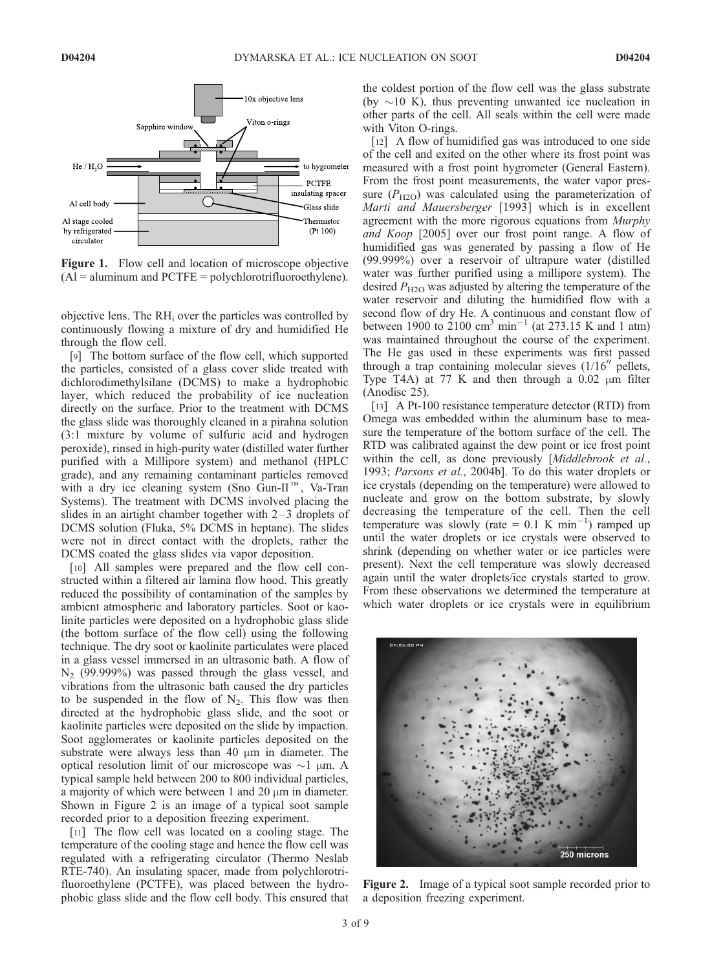

Figure 1. Flow cell and location of microscope objective  $(A)$  = aluminum and PCTFE = polychlorotrifluoroethylene).

objective lens. The RHi over the particles was controlled by continuously flowing a mixture of dry and humidified He through the flow cell.

[9] The bottom surface of the flow cell, which supported the particles, consisted of a glass cover slide treated with dichlorodimethylsilane (DCMS) to make a hydrophobic layer, which reduced the probability of ice nucleation directly on the surface. Prior to the treatment with DCMS the glass slide was thoroughly cleaned in a pirahna solution (3:1 mixture by volume of sulfuric acid and hydrogen peroxide), rinsed in high-purity water (distilled water further purified with a Millipore system) and methanol (HPLC grade), and any remaining contaminant particles removed with a dry ice cleaning system (Sno Gun-II<sup>M</sup>, Va-Tran Systems). The treatment with DCMS involved placing the slides in an airtight chamber together with  $2-3$  droplets of DCMS solution (Fluka, 5% DCMS in heptane). The slides were not in direct contact with the droplets, rather the DCMS coated the glass slides via vapor deposition.

[10] All samples were prepared and the flow cell constructed within a filtered air lamina flow hood. This greatly reduced the possibility of contamination of the samples by ambient atmospheric and laboratory particles. Soot or kaolinite particles were deposited on a hydrophobic glass slide (the bottom surface of the flow cell) using the following technique. The dry soot or kaolinite particulates were placed in a glass vessel immersed in an ultrasonic bath. A flow of  $N_2$  (99.999%) was passed through the glass vessel, and vibrations from the ultrasonic bath caused the dry particles to be suspended in the flow of  $N_2$ . This flow was then directed at the hydrophobic glass slide, and the soot or kaolinite particles were deposited on the slide by impaction. Soot agglomerates or kaolinite particles deposited on the substrate were always less than 40  $\mu$ m in diameter. The optical resolution limit of our microscope was  $\sim$ 1  $\mu$ m. A typical sample held between 200 to 800 individual particles, a majority of which were between 1 and 20  $\mu$ m in diameter. Shown in Figure 2 is an image of a typical soot sample recorded prior to a deposition freezing experiment.

[11] The flow cell was located on a cooling stage. The temperature of the cooling stage and hence the flow cell was regulated with a refrigerating circulator (Thermo Neslab RTE-740). An insulating spacer, made from polychlorotrifluoroethylene (PCTFE), was placed between the hydrophobic glass slide and the flow cell body. This ensured that the coldest portion of the flow cell was the glass substrate (by  $\sim$ 10 K), thus preventing unwanted ice nucleation in other parts of the cell. All seals within the cell were made with Viton O-rings.

[12] A flow of humidified gas was introduced to one side of the cell and exited on the other where its frost point was measured with a frost point hygrometer (General Eastern). From the frost point measurements, the water vapor pressure  $(P_{H2O})$  was calculated using the parameterization of Marti and Mauersberger [1993] which is in excellent agreement with the more rigorous equations from Murphy and Koop [2005] over our frost point range. A flow of humidified gas was generated by passing a flow of He (99.999%) over a reservoir of ultrapure water (distilled water was further purified using a millipore system). The desired  $P_{\text{H2O}}$  was adjusted by altering the temperature of the water reservoir and diluting the humidified flow with a second flow of dry He. A continuous and constant flow of between 1900 to 2100 cm<sup>3</sup> min<sup>-1</sup> (at 273.15 K and 1 atm) was maintained throughout the course of the experiment. The He gas used in these experiments was first passed through a trap containing molecular sieves  $(1/16<sup>′</sup>$  pellets, Type T4A) at 77 K and then through a  $0.02 \mu m$  filter (Anodisc 25).

[13] A Pt-100 resistance temperature detector (RTD) from Omega was embedded within the aluminum base to measure the temperature of the bottom surface of the cell. The RTD was calibrated against the dew point or ice frost point within the cell, as done previously [Middlebrook et al., 1993; Parsons et al., 2004b]. To do this water droplets or ice crystals (depending on the temperature) were allowed to nucleate and grow on the bottom substrate, by slowly decreasing the temperature of the cell. Then the cell temperature was slowly (rate =  $0.1 \text{ K min}^{-1}$ ) ramped up until the water droplets or ice crystals were observed to shrink (depending on whether water or ice particles were present). Next the cell temperature was slowly decreased again until the water droplets/ice crystals started to grow. From these observations we determined the temperature at which water droplets or ice crystals were in equilibrium



Figure 2. Image of a typical soot sample recorded prior to a deposition freezing experiment.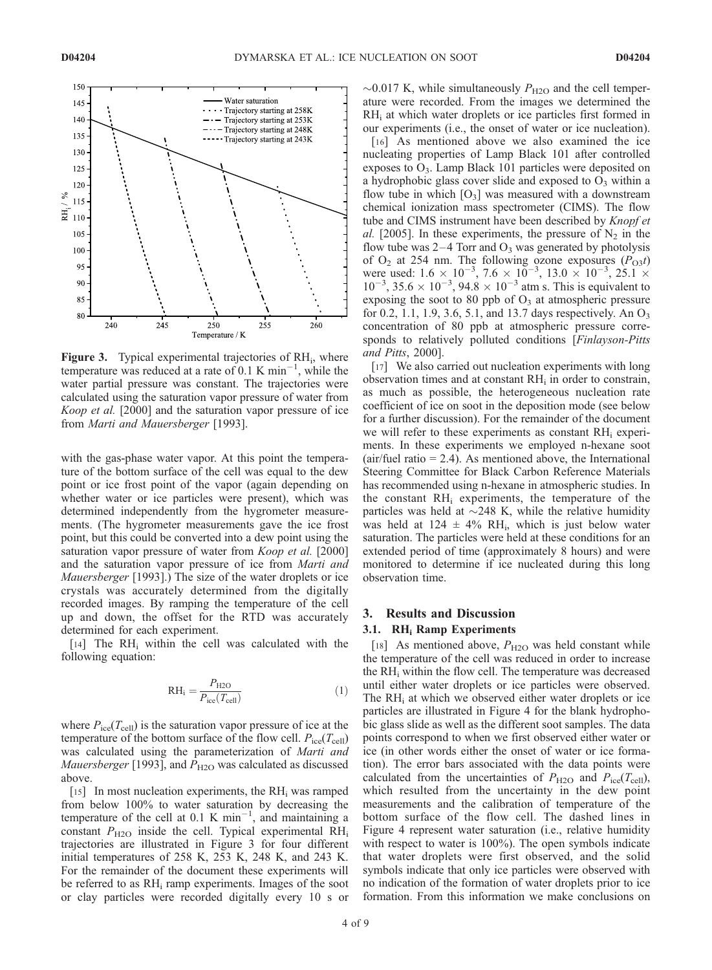

Figure 3. Typical experimental trajectories of RH<sub>i</sub>, where temperature was reduced at a rate of 0.1 K min<sup>-1</sup>, while the water partial pressure was constant. The trajectories were calculated using the saturation vapor pressure of water from Koop et al. [2000] and the saturation vapor pressure of ice from Marti and Mauersberger [1993].

with the gas-phase water vapor. At this point the temperature of the bottom surface of the cell was equal to the dew point or ice frost point of the vapor (again depending on whether water or ice particles were present), which was determined independently from the hygrometer measurements. (The hygrometer measurements gave the ice frost point, but this could be converted into a dew point using the saturation vapor pressure of water from *Koop et al.* [2000] and the saturation vapor pressure of ice from Marti and Mauersberger [1993].) The size of the water droplets or ice crystals was accurately determined from the digitally recorded images. By ramping the temperature of the cell up and down, the offset for the RTD was accurately determined for each experiment.

[14] The  $RH_i$  within the cell was calculated with the following equation:

$$
RH_i = \frac{P_{H2O}}{P_{ice}(T_{cell})}
$$
 (1)

where  $P_{\text{ice}}(T_{\text{cell}})$  is the saturation vapor pressure of ice at the temperature of the bottom surface of the flow cell.  $P_{\text{ice}}(T_{\text{cell}})$ was calculated using the parameterization of Marti and *Mauersberger* [1993], and  $P_{\text{H2O}}$  was calculated as discussed above.

[15] In most nucleation experiments, the  $RH_i$  was ramped from below 100% to water saturation by decreasing the temperature of the cell at 0.1 K min<sup>-1</sup>, and maintaining a constant  $P_{\text{H2O}}$  inside the cell. Typical experimental RH<sub>i</sub> trajectories are illustrated in Figure 3 for four different initial temperatures of 258 K, 253 K, 248 K, and 243 K. For the remainder of the document these experiments will be referred to as RHi ramp experiments. Images of the soot or clay particles were recorded digitally every 10 s or  $\sim$ 0.017 K, while simultaneously  $P_{\text{H2O}}$  and the cell temperature were recorded. From the images we determined the RH<sub>i</sub> at which water droplets or ice particles first formed in our experiments (i.e., the onset of water or ice nucleation).

[16] As mentioned above we also examined the ice nucleating properties of Lamp Black 101 after controlled exposes to  $O_3$ . Lamp Black 101 particles were deposited on a hydrophobic glass cover slide and exposed to  $O_3$  within a flow tube in which  $[O_3]$  was measured with a downstream chemical ionization mass spectrometer (CIMS). The flow tube and CIMS instrument have been described by *Knopf et* al. [2005]. In these experiments, the pressure of  $N_2$  in the flow tube was  $2-4$  Torr and  $O_3$  was generated by photolysis of  $O_2$  at 254 nm. The following ozone exposures  $(P_{O3}t)$ were used:  $1.6 \times 10^{-3}$ ,  $7.6 \times 10^{-3}$ ,  $13.0 \times 10^{-3}$ ,  $25.1 \times 10^{-3}$ ,  $35.6 \times 10^{-3}$ ,  $94.8 \times 10^{-3}$  atm s. This is equivalent to exposing the soot to 80 ppb of  $O_3$  at atmospheric pressure for 0.2, 1.1, 1.9, 3.6, 5.1, and 13.7 days respectively. An  $O_3$ concentration of 80 ppb at atmospheric pressure corresponds to relatively polluted conditions [Finlayson-Pitts] and Pitts, 2000].

[17] We also carried out nucleation experiments with long observation times and at constant  $RH_i$  in order to constrain, as much as possible, the heterogeneous nucleation rate coefficient of ice on soot in the deposition mode (see below for a further discussion). For the remainder of the document we will refer to these experiments as constant  $RH_i$  experiments. In these experiments we employed n-hexane soot  $(air/fuel ratio = 2.4)$ . As mentioned above, the International Steering Committee for Black Carbon Reference Materials has recommended using n-hexane in atmospheric studies. In the constant  $RH_i$  experiments, the temperature of the particles was held at  $\sim$ 248 K, while the relative humidity was held at  $124 \pm 4\%$  RH<sub>i</sub>, which is just below water saturation. The particles were held at these conditions for an extended period of time (approximately 8 hours) and were monitored to determine if ice nucleated during this long observation time.

#### 3. Results and Discussion

## 3.1. RH<sub>i</sub> Ramp Experiments

[18] As mentioned above,  $P_{\text{H2O}}$  was held constant while the temperature of the cell was reduced in order to increase the RHi within the flow cell. The temperature was decreased until either water droplets or ice particles were observed. The  $RH_i$  at which we observed either water droplets or ice particles are illustrated in Figure 4 for the blank hydrophobic glass slide as well as the different soot samples. The data points correspond to when we first observed either water or ice (in other words either the onset of water or ice formation). The error bars associated with the data points were calculated from the uncertainties of  $P_{\text{H2O}}$  and  $P_{\text{ice}}(T_{\text{cell}})$ , which resulted from the uncertainty in the dew point measurements and the calibration of temperature of the bottom surface of the flow cell. The dashed lines in Figure 4 represent water saturation (i.e., relative humidity with respect to water is 100%). The open symbols indicate that water droplets were first observed, and the solid symbols indicate that only ice particles were observed with no indication of the formation of water droplets prior to ice formation. From this information we make conclusions on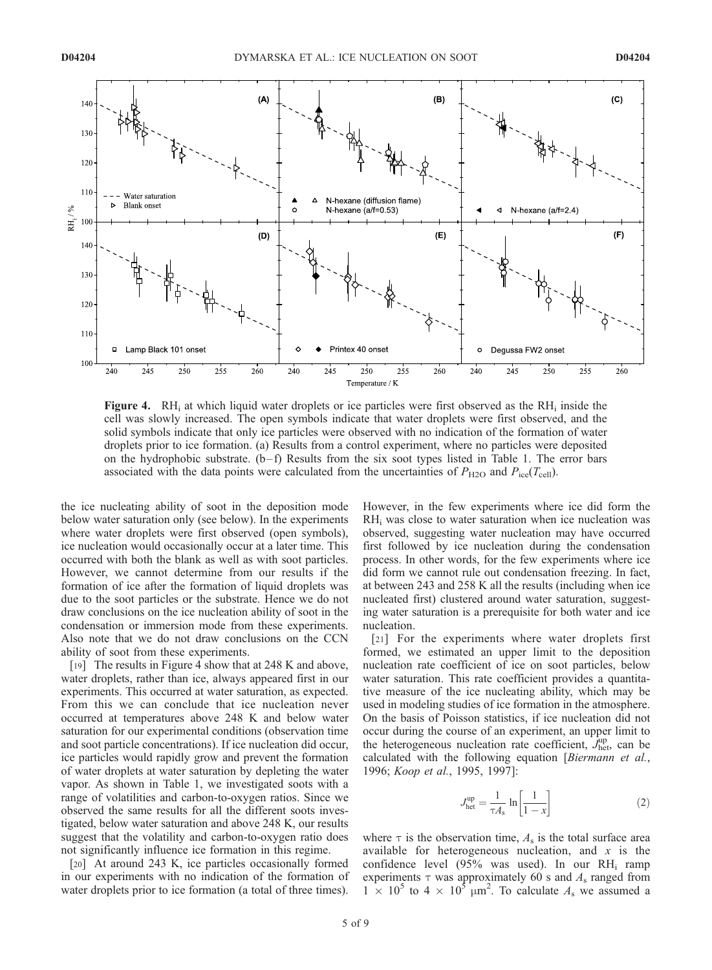

**Figure 4.** RH<sub>i</sub> at which liquid water droplets or ice particles were first observed as the RH<sub>i</sub> inside the cell was slowly increased. The open symbols indicate that water droplets were first observed, and the solid symbols indicate that only ice particles were observed with no indication of the formation of water droplets prior to ice formation. (a) Results from a control experiment, where no particles were deposited on the hydrophobic substrate.  $(b-f)$  Results from the six soot types listed in Table 1. The error bars associated with the data points were calculated from the uncertainties of  $P_{\text{H2O}}$  and  $P_{\text{ice}}(T_{\text{cell}})$ .

the ice nucleating ability of soot in the deposition mode below water saturation only (see below). In the experiments where water droplets were first observed (open symbols), ice nucleation would occasionally occur at a later time. This occurred with both the blank as well as with soot particles. However, we cannot determine from our results if the formation of ice after the formation of liquid droplets was due to the soot particles or the substrate. Hence we do not draw conclusions on the ice nucleation ability of soot in the condensation or immersion mode from these experiments. Also note that we do not draw conclusions on the CCN ability of soot from these experiments.

[19] The results in Figure 4 show that at 248 K and above, water droplets, rather than ice, always appeared first in our experiments. This occurred at water saturation, as expected. From this we can conclude that ice nucleation never occurred at temperatures above 248 K and below water saturation for our experimental conditions (observation time and soot particle concentrations). If ice nucleation did occur, ice particles would rapidly grow and prevent the formation of water droplets at water saturation by depleting the water vapor. As shown in Table 1, we investigated soots with a range of volatilities and carbon-to-oxygen ratios. Since we observed the same results for all the different soots investigated, below water saturation and above 248 K, our results suggest that the volatility and carbon-to-oxygen ratio does not significantly influence ice formation in this regime.

[20] At around 243 K, ice particles occasionally formed in our experiments with no indication of the formation of water droplets prior to ice formation (a total of three times).

However, in the few experiments where ice did form the  $RH<sub>i</sub>$  was close to water saturation when ice nucleation was observed, suggesting water nucleation may have occurred first followed by ice nucleation during the condensation process. In other words, for the few experiments where ice did form we cannot rule out condensation freezing. In fact, at between 243 and 258 K all the results (including when ice nucleated first) clustered around water saturation, suggesting water saturation is a prerequisite for both water and ice nucleation.

[21] For the experiments where water droplets first formed, we estimated an upper limit to the deposition nucleation rate coefficient of ice on soot particles, below water saturation. This rate coefficient provides a quantitative measure of the ice nucleating ability, which may be used in modeling studies of ice formation in the atmosphere. On the basis of Poisson statistics, if ice nucleation did not occur during the course of an experiment, an upper limit to the heterogeneous nucleation rate coefficient,  $J_{\text{het}}^{\text{up}}$  can be calculated with the following equation [Biermann et al., 1996; Koop et al., 1995, 1997]:

$$
J_{\text{het}}^{\text{up}} = \frac{1}{\tau A_s} \ln \left[ \frac{1}{1 - x} \right] \tag{2}
$$

where  $\tau$  is the observation time,  $A_s$  is the total surface area available for heterogeneous nucleation, and  $x$  is the confidence level (95% was used). In our RHi ramp experiments  $\tau$  was approximately 60 s and  $A_s$  ranged from  $1 \times 10^5$  to  $4 \times 10^5$   $\mu$ m<sup>2</sup>. To calculate  $A_s$  we assumed a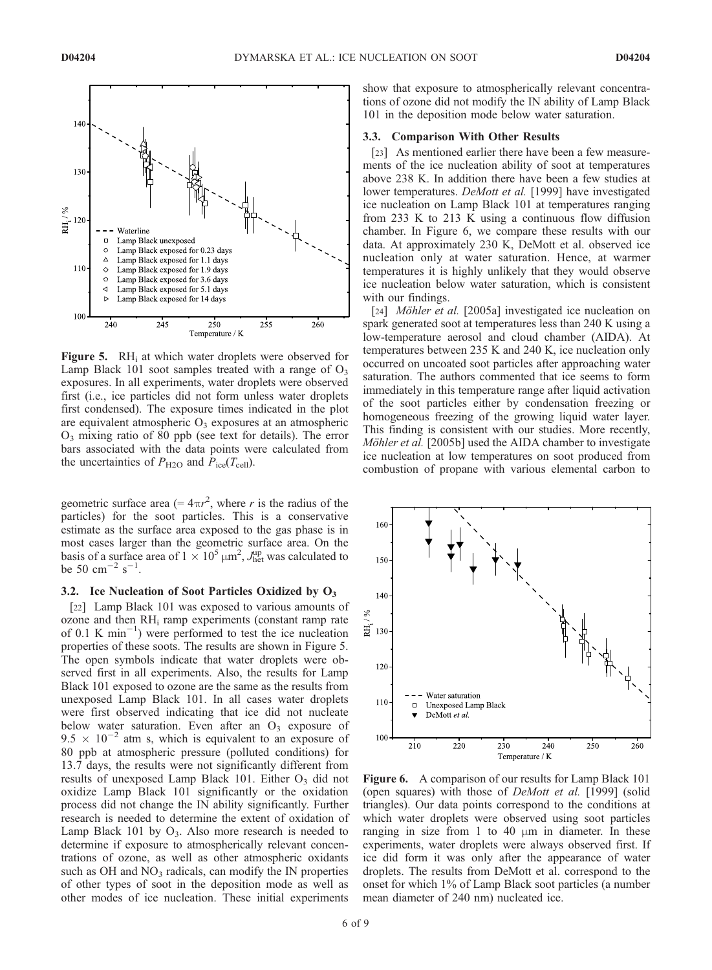

**Figure 5.** RH<sub>i</sub> at which water droplets were observed for Lamp Black 101 soot samples treated with a range of  $O_3$ exposures. In all experiments, water droplets were observed first (i.e., ice particles did not form unless water droplets first condensed). The exposure times indicated in the plot are equivalent atmospheric  $O_3$  exposures at an atmospheric  $O_3$  mixing ratio of 80 ppb (see text for details). The error bars associated with the data points were calculated from the uncertainties of  $P_{\text{H2O}}$  and  $P_{\text{ice}}(T_{\text{cell}})$ .

geometric surface area (=  $4\pi r^2$ , where r is the radius of the particles) for the soot particles. This is a conservative estimate as the surface area exposed to the gas phase is in most cases larger than the geometric surface area. On the basis of a surface area of  $1 \times 10^5 \,\mathrm{\upmu m}^2$ ,  $J_{\text{het}}^{\text{up}}$  was calculated to be 50  $\text{cm}^{-2} \text{ s}^{-1}$ .

## 3.2. Ice Nucleation of Soot Particles Oxidized by  $O_3$

[22] Lamp Black 101 was exposed to various amounts of ozone and then  $RH_i$  ramp experiments (constant ramp rate of  $0.1 \text{ K min}^{-1}$ ) were performed to test the ice nucleation properties of these soots. The results are shown in Figure 5. The open symbols indicate that water droplets were observed first in all experiments. Also, the results for Lamp Black 101 exposed to ozone are the same as the results from unexposed Lamp Black 101. In all cases water droplets were first observed indicating that ice did not nucleate below water saturation. Even after an  $O<sub>3</sub>$  exposure of  $9.5 \times 10^{-2}$  atm s, which is equivalent to an exposure of 80 ppb at atmospheric pressure (polluted conditions) for 13.7 days, the results were not significantly different from results of unexposed Lamp Black 101. Either  $O_3$  did not oxidize Lamp Black 101 significantly or the oxidation process did not change the IN ability significantly. Further research is needed to determine the extent of oxidation of Lamp Black 101 by  $O_3$ . Also more research is needed to determine if exposure to atmospherically relevant concentrations of ozone, as well as other atmospheric oxidants such as OH and  $NO<sub>3</sub>$  radicals, can modify the IN properties of other types of soot in the deposition mode as well as other modes of ice nucleation. These initial experiments

show that exposure to atmospherically relevant concentrations of ozone did not modify the IN ability of Lamp Black 101 in the deposition mode below water saturation.

#### 3.3. Comparison With Other Results

[23] As mentioned earlier there have been a few measurements of the ice nucleation ability of soot at temperatures above 238 K. In addition there have been a few studies at lower temperatures. *DeMott et al.* [1999] have investigated ice nucleation on Lamp Black 101 at temperatures ranging from 233 K to 213 K using a continuous flow diffusion chamber. In Figure 6, we compare these results with our data. At approximately 230 K, DeMott et al. observed ice nucleation only at water saturation. Hence, at warmer temperatures it is highly unlikely that they would observe ice nucleation below water saturation, which is consistent with our findings.

[24] *Möhler et al.* [2005a] investigated ice nucleation on spark generated soot at temperatures less than 240 K using a low-temperature aerosol and cloud chamber (AIDA). At temperatures between 235 K and 240 K, ice nucleation only occurred on uncoated soot particles after approaching water saturation. The authors commented that ice seems to form immediately in this temperature range after liquid activation of the soot particles either by condensation freezing or homogeneous freezing of the growing liquid water layer. This finding is consistent with our studies. More recently, Möhler et al. [2005b] used the AIDA chamber to investigate ice nucleation at low temperatures on soot produced from combustion of propane with various elemental carbon to



Figure 6. A comparison of our results for Lamp Black 101 (open squares) with those of *DeMott et al.* [1999] (solid triangles). Our data points correspond to the conditions at which water droplets were observed using soot particles ranging in size from 1 to 40  $\mu$ m in diameter. In these experiments, water droplets were always observed first. If ice did form it was only after the appearance of water droplets. The results from DeMott et al. correspond to the onset for which 1% of Lamp Black soot particles (a number mean diameter of 240 nm) nucleated ice.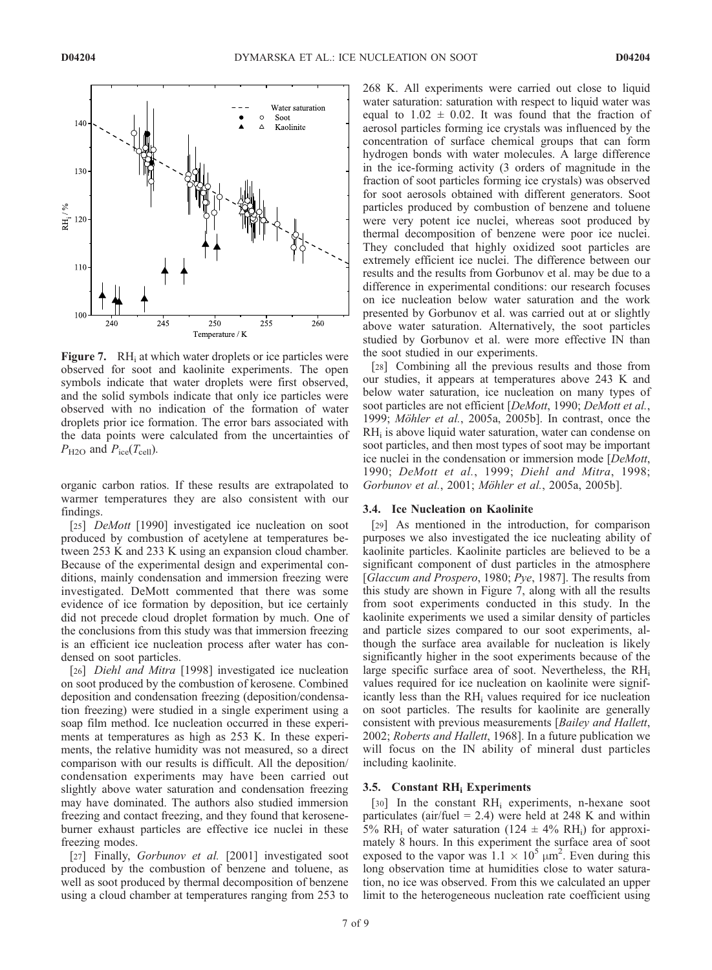

**Figure 7.** RH<sub>i</sub> at which water droplets or ice particles were observed for soot and kaolinite experiments. The open symbols indicate that water droplets were first observed, and the solid symbols indicate that only ice particles were observed with no indication of the formation of water droplets prior ice formation. The error bars associated with the data points were calculated from the uncertainties of  $P_{\text{H2O}}$  and  $P_{\text{ice}}(T_{\text{cell}})$ .

organic carbon ratios. If these results are extrapolated to warmer temperatures they are also consistent with our findings.

[25] *DeMott* [1990] investigated ice nucleation on soot produced by combustion of acetylene at temperatures between 253 K and 233 K using an expansion cloud chamber. Because of the experimental design and experimental conditions, mainly condensation and immersion freezing were investigated. DeMott commented that there was some evidence of ice formation by deposition, but ice certainly did not precede cloud droplet formation by much. One of the conclusions from this study was that immersion freezing is an efficient ice nucleation process after water has condensed on soot particles.

[26] *Diehl and Mitra* [1998] investigated ice nucleation on soot produced by the combustion of kerosene. Combined deposition and condensation freezing (deposition/condensation freezing) were studied in a single experiment using a soap film method. Ice nucleation occurred in these experiments at temperatures as high as 253 K. In these experiments, the relative humidity was not measured, so a direct comparison with our results is difficult. All the deposition/ condensation experiments may have been carried out slightly above water saturation and condensation freezing may have dominated. The authors also studied immersion freezing and contact freezing, and they found that keroseneburner exhaust particles are effective ice nuclei in these freezing modes.

[27] Finally, Gorbunov et al. [2001] investigated soot produced by the combustion of benzene and toluene, as well as soot produced by thermal decomposition of benzene using a cloud chamber at temperatures ranging from 253 to

268 K. All experiments were carried out close to liquid water saturation: saturation with respect to liquid water was equal to  $1.02 \pm 0.02$ . It was found that the fraction of aerosol particles forming ice crystals was influenced by the concentration of surface chemical groups that can form hydrogen bonds with water molecules. A large difference in the ice-forming activity (3 orders of magnitude in the fraction of soot particles forming ice crystals) was observed for soot aerosols obtained with different generators. Soot particles produced by combustion of benzene and toluene were very potent ice nuclei, whereas soot produced by thermal decomposition of benzene were poor ice nuclei. They concluded that highly oxidized soot particles are extremely efficient ice nuclei. The difference between our results and the results from Gorbunov et al. may be due to a difference in experimental conditions: our research focuses on ice nucleation below water saturation and the work presented by Gorbunov et al. was carried out at or slightly above water saturation. Alternatively, the soot particles studied by Gorbunov et al. were more effective IN than the soot studied in our experiments.

[28] Combining all the previous results and those from our studies, it appears at temperatures above 243 K and below water saturation, ice nucleation on many types of soot particles are not efficient [DeMott, 1990; DeMott et al., 1999; Möhler et al., 2005a, 2005b]. In contrast, once the  $RH<sub>i</sub>$  is above liquid water saturation, water can condense on soot particles, and then most types of soot may be important ice nuclei in the condensation or immersion mode [DeMott, 1990; DeMott et al., 1999; Diehl and Mitra, 1998; Gorbunov et al., 2001; Möhler et al., 2005a, 2005b].

#### 3.4. Ice Nucleation on Kaolinite

[29] As mentioned in the introduction, for comparison purposes we also investigated the ice nucleating ability of kaolinite particles. Kaolinite particles are believed to be a significant component of dust particles in the atmosphere [Glaccum and Prospero, 1980; Pye, 1987]. The results from this study are shown in Figure 7, along with all the results from soot experiments conducted in this study. In the kaolinite experiments we used a similar density of particles and particle sizes compared to our soot experiments, although the surface area available for nucleation is likely significantly higher in the soot experiments because of the large specific surface area of soot. Nevertheless, the RHi values required for ice nucleation on kaolinite were significantly less than the RHi values required for ice nucleation on soot particles. The results for kaolinite are generally consistent with previous measurements [Bailey and Hallett, 2002; Roberts and Hallett, 1968]. In a future publication we will focus on the IN ability of mineral dust particles including kaolinite.

# 3.5. Constant RHi Experiments

[30] In the constant RH<sub>i</sub> experiments, n-hexane soot particulates (air/fuel = 2.4) were held at 248 K and within 5% RH<sub>i</sub> of water saturation (124  $\pm$  4% RH<sub>i</sub>) for approximately 8 hours. In this experiment the surface area of soot exposed to the vapor was  $1.1 \times 10^5 \mu m^2$ . Even during this long observation time at humidities close to water saturation, no ice was observed. From this we calculated an upper limit to the heterogeneous nucleation rate coefficient using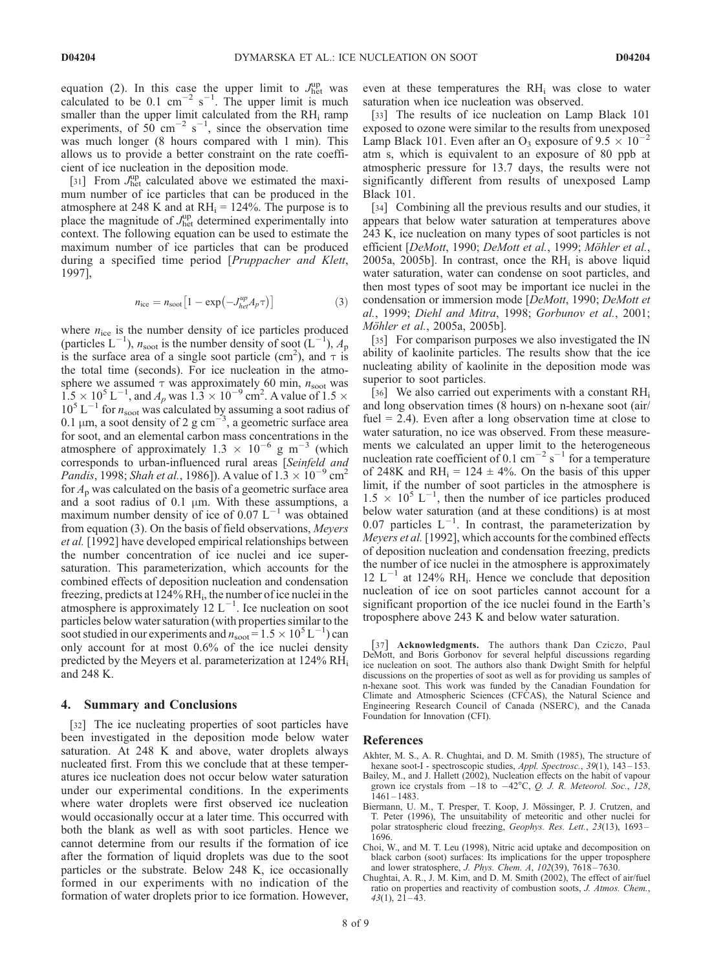equation (2). In this case the upper limit to  $J_{\text{het}}^{\text{up}}$  was calculated to be 0.1  $\text{cm}^{-2}$  s<sup>-1</sup>. The upper limit is much smaller than the upper limit calculated from the  $RH_i$  ramp experiments, of  $50^{\circ}$  cm<sup>-2</sup> s<sup>-1</sup>, since the observation time was much longer (8 hours compared with 1 min). This allows us to provide a better constraint on the rate coefficient of ice nucleation in the deposition mode.

[31] From  $J_{\text{het}}^{\text{up}}$  calculated above we estimated the maximum number of ice particles that can be produced in the atmosphere at 248 K and at  $RH_i = 124\%$ . The purpose is to place the magnitude of  $J_{\text{het}}^{\text{up}}$  determined experimentally into context. The following equation can be used to estimate the maximum number of ice particles that can be produced during a specified time period [Pruppacher and Klett, 1997],

$$
n_{\rm ice} = n_{\rm spot} \left[ 1 - \exp\left(-J_{\text{het}}^{\text{up}} A_p \tau\right) \right] \tag{3}
$$

where  $n_{\text{ice}}$  is the number density of ice particles produced (particles  $L^{-1}$ ),  $n_{\text{soot}}$  is the number density of soot  $(L^{-1})$ ,  $A_p$ is the surface area of a single soot particle (cm<sup>2</sup>), and  $\tau$  is the total time (seconds). For ice nucleation in the atmosphere we assumed  $\tau$  was approximately 60 min,  $n_{\text{soot}}$  was  $1.5 \times 10^5$  L<sup>-1</sup>, and  $A_p$  was  $1.3 \times 10^{-9}$  cm<sup>2</sup>. A value of 1.5  $\times$  $10^5$  L<sup>-1</sup> for  $n_{\text{soot}}$  was calculated by assuming a soot radius of 0.1  $\mu$ m, a soot density of 2 g cm<sup>-3</sup>, a geometric surface area for soot, and an elemental carbon mass concentrations in the atmosphere of approximately  $1.3 \times 10^{-6}$  g m<sup>-3</sup> (which corresponds to urban-influenced rural areas [Seinfeld and *Pandis*, 1998; *Shah et al.*, 1986]). A value of  $1.\overline{3} \times 10^{-9}$  cm<sup>2</sup> for  $A_p$  was calculated on the basis of a geometric surface area and a soot radius of  $0.1 \mu m$ . With these assumptions, a maximum number density of ice of 0.07  $L^{-1}$  was obtained from equation (3). On the basis of field observations, Meyers et al. [1992] have developed empirical relationships between the number concentration of ice nuclei and ice supersaturation. This parameterization, which accounts for the combined effects of deposition nucleation and condensation freezing, predicts at 124% RHi, the number of ice nuclei in the atmosphere is approximately  $12 \mathrm{L}^{-1}$ . Ice nucleation on soot particles below water saturation (with properties similar to the soot studied in our experiments and  $n_{\text{soot}} = 1.5 \times 10^5 \text{ L}^{-1}$ ) can only account for at most 0.6% of the ice nuclei density predicted by the Meyers et al. parameterization at 124% RHi and 248 K.

## 4. Summary and Conclusions

[32] The ice nucleating properties of soot particles have been investigated in the deposition mode below water saturation. At 248 K and above, water droplets always nucleated first. From this we conclude that at these temperatures ice nucleation does not occur below water saturation under our experimental conditions. In the experiments where water droplets were first observed ice nucleation would occasionally occur at a later time. This occurred with both the blank as well as with soot particles. Hence we cannot determine from our results if the formation of ice after the formation of liquid droplets was due to the soot particles or the substrate. Below 248 K, ice occasionally formed in our experiments with no indication of the formation of water droplets prior to ice formation. However, even at these temperatures the  $RH_i$  was close to water saturation when ice nucleation was observed.

[33] The results of ice nucleation on Lamp Black 101 exposed to ozone were similar to the results from unexposed Lamp Black 101. Even after an O<sub>3</sub> exposure of  $9.5 \times 10^{-2}$ atm s, which is equivalent to an exposure of 80 ppb at atmospheric pressure for 13.7 days, the results were not significantly different from results of unexposed Lamp Black 101.

[34] Combining all the previous results and our studies, it appears that below water saturation at temperatures above 243 K, ice nucleation on many types of soot particles is not efficient [DeMott, 1990; DeMott et al., 1999; Möhler et al., 2005a, 2005b]. In contrast, once the  $RH_i$  is above liquid water saturation, water can condense on soot particles, and then most types of soot may be important ice nuclei in the condensation or immersion mode [DeMott, 1990; DeMott et al., 1999; Diehl and Mitra, 1998; Gorbunov et al., 2001; Möhler et al., 2005a, 2005b].

[35] For comparison purposes we also investigated the IN ability of kaolinite particles. The results show that the ice nucleating ability of kaolinite in the deposition mode was superior to soot particles.

[36] We also carried out experiments with a constant  $RH_i$ and long observation times (8 hours) on n-hexane soot (air/ fuel  $= 2.4$ ). Even after a long observation time at close to water saturation, no ice was observed. From these measurements we calculated an upper limit to the heterogeneous nucleation rate coefficient of 0.1 cm<sup>-2</sup> s<sup>-1</sup> for a temperature of 248K and RH<sub>i</sub> = 124  $\pm$  4%. On the basis of this upper limit, if the number of soot particles in the atmosphere is  $1.5 \times 10^5$  L<sup>-1</sup>, then the number of ice particles produced below water saturation (and at these conditions) is at most 0.07 particles  $L^{-1}$ . In contrast, the parameterization by Meyers et al. [1992], which accounts for the combined effects of deposition nucleation and condensation freezing, predicts the number of ice nuclei in the atmosphere is approximately  $12 \text{ L}^{-1}$  at 124% RH<sub>i</sub>. Hence we conclude that deposition nucleation of ice on soot particles cannot account for a significant proportion of the ice nuclei found in the Earth's troposphere above 243 K and below water saturation.

[37] Acknowledgments. The authors thank Dan Cziczo, Paul DeMott, and Boris Gorbonov for several helpful discussions regarding ice nucleation on soot. The authors also thank Dwight Smith for helpful discussions on the properties of soot as well as for providing us samples of n-hexane soot. This work was funded by the Canadian Foundation for Climate and Atmospheric Sciences (CFCAS), the Natural Science and Engineering Research Council of Canada (NSERC), and the Canada Foundation for Innovation (CFI).

#### References

- Akhter, M. S., A. R. Chughtai, and D. M. Smith (1985), The structure of hexane soot-I - spectroscopic studies, Appl. Spectrosc., 39(1), 143-153.
- Bailey, M., and J. Hallett (2002), Nucleation effects on the habit of vapour grown ice crystals from  $-18$  to  $-42^{\circ}\text{C}$ , Q. J. R. Meteorol. Soc., 128, 1461 – 1483.
- Biermann, U. M., T. Presper, T. Koop, J. Mössinger, P. J. Crutzen, and T. Peter (1996), The unsuitability of meteoritic and other nuclei for polar stratospheric cloud freezing, Geophys. Res. Lett., 23(13), 1693-1696.
- Choi, W., and M. T. Leu (1998), Nitric acid uptake and decomposition on black carbon (soot) surfaces: Its implications for the upper troposphere and lower stratosphere, *J. Phys. Chem. A*, 102(39), 7618-7630.
- Chughtai, A. R., J. M. Kim, and D. M. Smith (2002), The effect of air/fuel ratio on properties and reactivity of combustion soots, J. Atmos. Chem.,  $43(1), 21-43.$